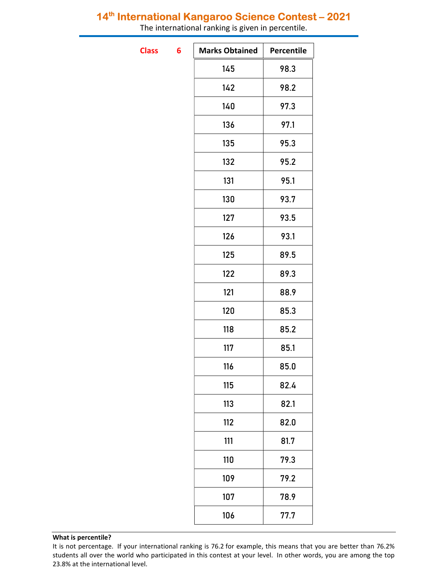The international ranking is given in percentile.

**Class** 

| 6 | <b>Marks Obtained</b> | Percentile |
|---|-----------------------|------------|
|   | 145                   | 98.3       |
|   | 142                   | 98.2       |
|   | 140                   | 97.3       |
|   | 136                   | 97.1       |
|   | 135                   | 95.3       |
|   | 132                   | 95.2       |
|   | 131                   | 95.1       |
|   | 130                   | 93.7       |
|   | 127                   | 93.5       |
|   | 126                   | 93.1       |
|   | 125                   | 89.5       |
|   | 122                   | 89.3       |
|   | 121                   | 88.9       |
|   | 120                   | 85.3       |
|   | 118                   | 85.2       |
|   | 117                   | 85.1       |
|   | 116                   | 85.0       |
|   | 115                   | 82.4       |
|   | 113                   | 82.1       |
|   | 112                   | 82.0       |
|   | 111                   | 81.7       |
|   | 110                   | 79.3       |
|   | 109                   | 79.2       |
|   | 107                   | 78.9       |
|   | 106                   | 77.7       |

It is not percentage. If your international ranking is 76.2 for example, this means that you are better than 76.2% students all over the world who participated in this contest at your level. In other words, you are among the top 23.8% at the international level.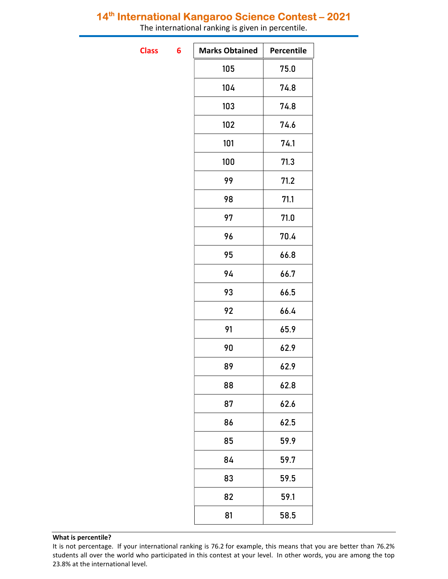The international ranking is given in percentile.

**Class** 

| 6 | <b>Marks Obtained</b> | Percentile |
|---|-----------------------|------------|
|   | 105                   | 75.0       |
|   | 104                   | 74.8       |
|   | 103                   | 74.8       |
|   | 102                   | 74.6       |
|   | 101                   | 74.1       |
|   | 100                   | 71.3       |
|   | 99                    | 71.2       |
|   | 98                    | 71.1       |
|   | 97                    | 71.0       |
|   | 96                    | 70.4       |
|   | 95                    | 66.8       |
|   | 94                    | 66.7       |
|   | 93                    | 66.5       |
|   | 92                    | 66.4       |
|   | 91                    | 65.9       |
|   | 90                    | 62.9       |
|   | 89                    | 62.9       |
|   | 88                    | 62.8       |
|   | 87                    | 62.6       |
|   | 86                    | 62.5       |
|   | 85                    | 59.9       |
|   | 84                    | 59.7       |
|   | 83                    | 59.5       |
|   | 82                    | 59.1       |
|   | 81                    | 58.5       |
|   |                       |            |

It is not percentage. If your international ranking is 76.2 for example, this means that you are better than 76.2% students all over the world who participated in this contest at your level. In other words, you are among the top 23.8% at the international level.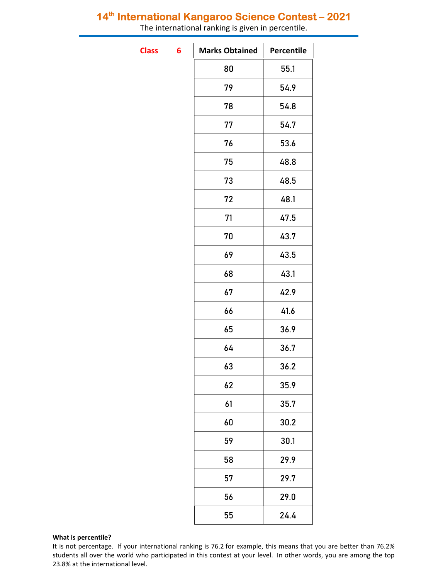The international ranking is given in percentile.

**Class** 

| 6 | <b>Marks Obtained</b> | Percentile |
|---|-----------------------|------------|
|   | 80                    | 55.1       |
|   | 79                    | 54.9       |
|   | 78                    | 54.8       |
|   | 77                    | 54.7       |
|   | 76                    | 53.6       |
|   | 75                    | 48.8       |
|   | 73                    | 48.5       |
|   | 72                    | 48.1       |
|   | 71                    | 47.5       |
|   | 70                    | 43.7       |
|   | 69                    | 43.5       |
|   | 68                    | 43.1       |
|   | 67                    | 42.9       |
|   | 66                    | 41.6       |
|   | 65                    | 36.9       |
|   | 64                    | 36.7       |
|   | 63                    | 36.2       |
|   | 62                    | 35.9       |
|   | 61                    | 35.7       |
|   | 60                    | 30.2       |
|   | 59                    | 30.1       |
|   | 58                    | 29.9       |
|   | 57                    | 29.7       |
|   | 56                    | 29.0       |
|   | 55                    | 24.4       |

It is not percentage. If your international ranking is 76.2 for example, this means that you are better than 76.2% students all over the world who participated in this contest at your level. In other words, you are among the top 23.8% at the international level.